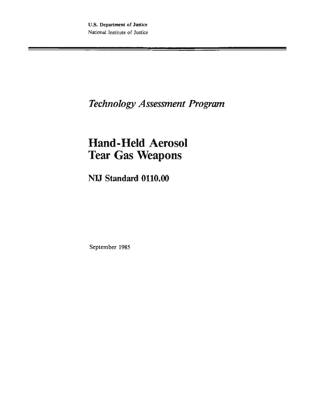*TechnologyAssessment Progrmn* 

# **Hand-Held Aerosol Tear Gas Weapons**

**NW Standard 0110,00** 

**September 1985**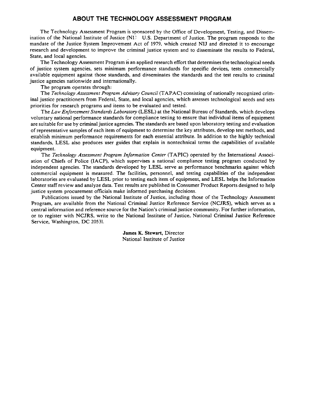#### **ABOUT THE TECHNOLOGY ASSESSMENT PROGRAM**

The Technology Assessment Program is sponsored by the Office of Development, Testing, and Dissemination of the National Institute of Justice ( $NI<sup>3</sup>$  U.S. Department of Justice. The program responds to the mandate of the Justice System Improvement Act of 1979, which created NIJ and directed it to encourage research and development to improve the criminal justice system and to disseminate the results to Federal, State, and local agencies.

The Technology Assessment Program is an applied research effort that determines the technological needs of justice system agencies, sets minimum performance standards for specific devices, tests commercially available equipment against those standards, and disseminates the standards and the test results to criminal justice agencies nationwide and internationally.

The program operates through:

The *Technology Assessment Program Advisory Council* (TAPAC) consisting of nationally recognized criminal justice practitioners from Federal, State, and local agencies, which assesses technological needs and sets priorities for research programs and items to be evaluated and tested.

The *Law! Enforcement Standards Laboratory* (LESL) at the National Bureau of Standards, which develops voluntary national performance standards for compliance testing to ensure that individual items of equipment are suitable for use by criminal justice agencies. The standards are based upon laboratory testing and evaluation of representative samples of each item of equipment to determine the key attributes, develop test methods, and establish minimum performance requirements for each essential attribute. In addition to the highly technical standards, LESL also produces user guides that explain in nontechnical terms the capabilities of available equipment.

The *Technology Assessment Program Information Center* (TAPIC) operated by the International Association of Chiefs of Police (IACP), which supervises a national compliance testing program conducted by independent agencies. The standards developed by LESL serve as performance benchmarks against which commercial equipment is measured. The facilities, personnel, and testing capabilities of the independent laboratories are evaluated by LESL prior to testing each item of equipment, and LESL helps the Information Center staff review and analyze data. Test results are published in Consumer Product Reports designed to help justice system procurement officials make informed purchasing decisions.

Publications issued by the National Institute of Justice, including those of the Technology Assessment Program, are available from the National Criminal Justice Reference Service (NCJRS), which serves as a central information and reference source for the Nation's criminal justice community. For further information, or to register with NCJRS, write to the National Institute of Justice, National Criminal Justice Reference Service, Washington, DC 20531.

> James K. Stewart, Director National lnstitute of Justice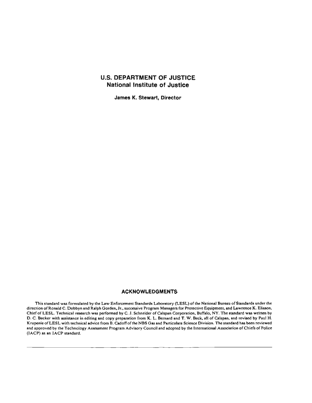## **U.S. DEPARTMENT OF JUSTICE National Institute of Justice**

**James K. Stewart, Director** 

#### **ACKNOWLEDGMENTS**

**This** standard **was** formulated by the **Law** Enforcement Standards Laboratory (LESL) of the National Bureau of Standards under the direction of Ronald C. Dobbyn and Ralph Gorden. Jr., successive Program Managers for Protective Equipment, and Lawrence K. Eliason, Chief of **LESL.**Technical research **was** performed by C. J. Schneider of Calspan Corporation, BufTalo, NY. The standard **was** written by **D.**C. Bccker with assistance in editing and copy preparation from K. L. Bernard and T. **W. &ck,** s!l of **Calspan,**and revised by Paul H. Krupenie of **LESL**with technical advice from **B.**Cadoff of the NBS **Gas** and Pnrticulate Science Division. **The** standard **has bem** reviewed and approved by the Technology Assessment Program Advisory Council and adopted by the International Association of Chiefs of Police (IACP) as an IACP standard.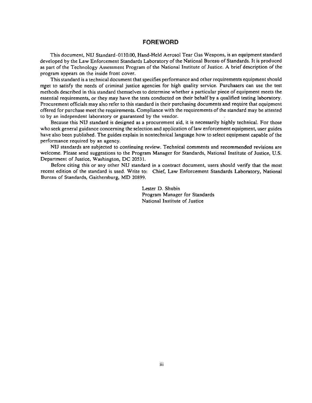#### **FOREWORD**

This document, NIJ Standard-01 10.00, Hand-Held Aerosol Tear Gas Weapons, is an equipment standard developed by the Law Enforcement Standards Laboratory of the National Bureau of Standards. It is produced as part of the Technology Assessment Program of the National Institute of Justice. A brief description of the program appears on the inside front cover.

This standard is a technical document that specifies performance and other requirements equipment should qeet to satisfy the needs of criminal justice agencies for high quality service. Purchasers **can** use the test methods described in this standard themselves to determine whether **i** particular piece of equipment meets the essential requirements, or they may have the tests conducted on their behalf by a qualified testing laboratory. Procurement officials may also refer to this standard in their purchasing documents and require that equipment offered for purchase meet the requirements. Compliance with the requirements of the standard may be attested to by an independent laboratory or guaranteed by the vendor.

Because this NIJ standard is designed as a procurement aid, it is necessarily highly technical. For those who seek general guidance concerning the selection and application of law enforcement equipment, user guides have also been published. The guides explain in nontechnical language how to select equipment capable of the performance required by an agency.

NIJ standards are subjected to continuing review. Technical comments and recommended revisions are welcome. Please send suggestions to the Program Manager for Standards, National Institute of Justice, U.S. Department of Justice, Washington, DC 20531.

Before citing this or any other NIJ standard in a contract document, users should verify that the most recent edition of the standard is used. Write to: Chief, Law Enforcement Standards Laboratory, National Bureau of Standards, Gaithersburg, MD 20899.

> Lester D. Shubin Program Manager for Standards National Institute of Justice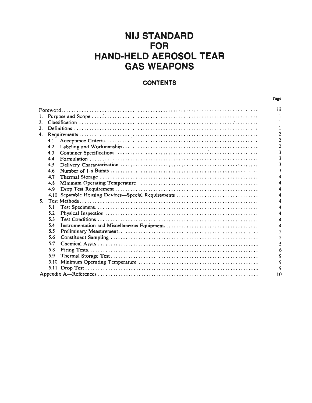## **NIJ STANDARD FOR HAND-HELD AEROSOL TEAR GAS WEAPONS**

## **CONTENTS**

|                |      |                                                | Page           |  |  |
|----------------|------|------------------------------------------------|----------------|--|--|
|                |      |                                                | iii            |  |  |
| 1.             |      |                                                |                |  |  |
| 2.             |      |                                                |                |  |  |
| 3.             |      |                                                |                |  |  |
| 4.             |      |                                                |                |  |  |
|                | 4.1  |                                                | $\overline{2}$ |  |  |
|                | 4.2  |                                                | 2              |  |  |
|                | 4.3  |                                                | 3              |  |  |
|                | 44   |                                                | 3              |  |  |
|                | 4.5  |                                                | 3              |  |  |
|                | 4.6  |                                                |                |  |  |
|                | 4.7  |                                                |                |  |  |
|                | 4.8  |                                                |                |  |  |
|                | 4.9  |                                                |                |  |  |
|                | 4.10 | Separable Housing Devices-Special Requirements |                |  |  |
| 5 <sub>1</sub> |      |                                                |                |  |  |
|                | 5.1  |                                                |                |  |  |
|                | 5.2  |                                                |                |  |  |
|                | 5.3  |                                                |                |  |  |
|                | 5.4  |                                                |                |  |  |
|                | 5.5  |                                                | 5              |  |  |
|                | 5.6  |                                                | 5              |  |  |
|                | 5.7  |                                                |                |  |  |
|                | 5.8  |                                                | 6              |  |  |
|                | 5.9  |                                                | ۹              |  |  |
|                | 5.10 |                                                | 9              |  |  |
|                |      |                                                | 9              |  |  |
|                |      |                                                | 10             |  |  |
|                |      |                                                |                |  |  |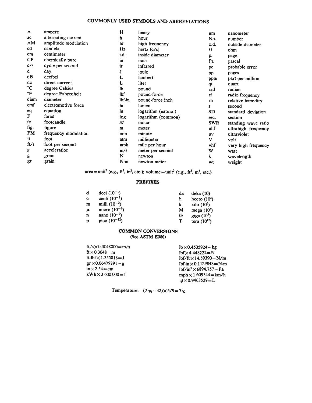#### **COMMONLY USED SYMBOLS AND ABBREVIATIONS**

| ampere               | н          | henry               | nm                                                    | nanometer                                  |
|----------------------|------------|---------------------|-------------------------------------------------------|--------------------------------------------|
| alternating current  | h          | hour                | No.                                                   | number                                     |
| amplitude modulation | hf         |                     |                                                       | outside diameter                           |
| candela              | Hz         |                     | Ω                                                     | ohm                                        |
| centimeter           | i.d.       | inside diameter     |                                                       | page                                       |
| chemically pure      | in         | inch                |                                                       | pascal                                     |
| cycle per second     | ir         | infrared            |                                                       | probable error                             |
| day                  |            | joule               |                                                       | pages                                      |
| decibel              | L          | lambert             |                                                       | part per million                           |
| direct current       | L          | liter               |                                                       | quart                                      |
| degree Celsius       | lЪ         | pound               | rad                                                   | radian                                     |
| degree Fahrenheit    | <b>lbf</b> | pound-force         | rf                                                    | radio frequency                            |
| diameter             | lbf in     | pound-force inch    | rh                                                    | relative humidity                          |
| electromotive force  | lm         | lumen               | S                                                     | second                                     |
| equation             | ln.        | logarithm (natural) | SD                                                    | standard deviation                         |
| farad                | log        |                     | sec.                                                  | section                                    |
| footcandle           | M          | molar               | <b>SWR</b>                                            | standing wave ratio                        |
| figure               | m          | meter               | uhf                                                   | ultrahigh frequency                        |
| frequency modulation | min        | minute              | uv                                                    | ultraviolet                                |
| foot                 | mm         | millimeter          | v                                                     | volt                                       |
| foot per second      | mph        | mile per hour       | vhf                                                   | very high frequency                        |
| acceleration         | m/s        | meter per second    | W                                                     | watt                                       |
| gram                 | N          | newton              | λ                                                     | wavelength                                 |
| grain                | N·m        | newton meter        | wt                                                    | weight                                     |
|                      |            |                     | high frequency<br>hertz $(c/s)$<br>logarithm (common) | o.d.<br>p.<br>Pa<br>рe<br>pp.<br>ppm<br>qt |

 $area=unit^2$  (e.g.,  $ft^2$ ,  $in^2$ , etc.); volume=unit<sup>3</sup> (e.g.,  $ft^3$ ,  $m^3$ , etc.)

#### **PREFIXES**

| d | deci $(10^{-1})$  | da | deka(10)         |
|---|-------------------|----|------------------|
| c | centi $(10^{-2})$ | h  | hecto $(10^2)$   |
| m | milli $(10^{-3})$ | k  | kilo $(10^3)$    |
| μ | micro $(10^{-6})$ | M  | mega $(10^6)$    |
| n | nano $(10^{-9})$  | G  | giga $(10^9)$    |
| D | pico $(10^{-12})$ | т  | tera $(10^{12})$ |

#### **COMMON CONVERSIONS (See ASTM E380)**

| $ft/s \times 0.3048000 = m/s$ |
|-------------------------------|
| $ft \times 0.3048 = m$        |
| ft-lbf $\times$ 1.355818=J    |
| $gr \times 0.06479891 = g$    |
| $in \times 2.54 = cm$         |
| $kWh \times 3,600,000 = J$    |

 $lb \times 0.4535924 = kg$  $\text{lbf} \times 4.448222 = N$  $lbf/ft \times 14.59390 = N/m$  $1bf\text{-}in \times 0.1129848 = N\text{-}m$  $1bf/in^2 \times 6894.757 = Pa$  $mph \times 1.609344 = km/h$  $q$ t  $\times$  0.9463529 = L

Temperature:  $(T_{F} - 32) \times 5/9 = T_{C}$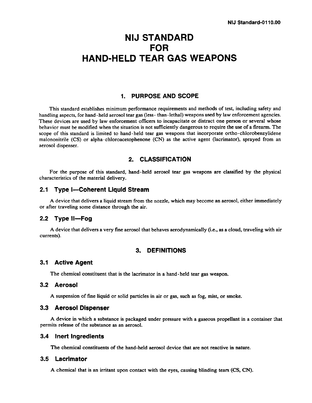## **NIJ STANDARD FOR HAND-HELD TEAR GAS WEAPONS**

#### **1. PURPOSE AND SCOPE**

This standard establishes minimum performance requirements and methods of test, including safety and handling aspects, for hand - held aerosol tear gas (less - than - lethal) weapons used by law enforcement agencies. These devices are used by law enforcement officers to incapacitate or distract one person or several whose behavior must be modified when the situation is not sufficiently dangerous to require the use of a firearm. The scope of this standard is limited to hand-held tear gas weapons that incorporate ortho-chlorobenzylidene malononitrile (CS) or alpha-chloroacetophenone (CN) as the active agent (lacrimator), sprayed from an aerosol dispenser.

#### **2. CLASSIFICATION**

For the purpose of this standard, hand-held aerosol tear gas weapons are classified by the physical characteristics of the material delivery.

#### **2.1 Type I-Coherent Liquid Stream**

A device that delivers a liquid stream from the nozzle, which may become an aerosol, either immediately or after traveling some distance through the air.

#### **2.2 Type Il-Fog**

A device that delivers a very fine aerosol that behaves aerodynamically (i.e., as a cloud, traveling with air currents).

#### **3. DEFINITIONS**

#### **3.1 Active Agent**

The chemical constituent that is the lacrimator in a hand-held tear gas weapon.

### **3.2 Aerosol**

A suspension of fine liquid or solid particles in air or gas, such as fog, mist, or smoke.

#### **3.3 Aerosol Dispenser**

A device in which a substance is packaged under pressure with a gaseous propellant in a container :hat permits release of the substance as an aerosol.

#### **3.4 Inert Ingredients**

The chemical constituents of the hand-held aerosol device that are not reactive in nature.

#### **3.5 Lacrimator**

**A** chemical that is an irritant upon contact with the eyes, causing blinding tears **(CS,**CN).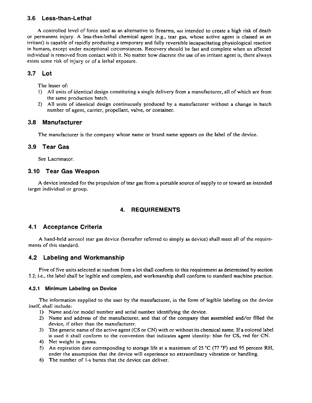## 3.6 Less-than-Lethal

A controlled level of force used **as** an alternative to firearms, not intended to create a high risk of death or permanent injury. A less-than-lethal chemical agent **(e.g.,** tear **gas,** whose active agent is classed as an irritant) is capable of rapidly producing a temporary and fully reversible incapacitating physiological reaction in humans, except under exceptional circumstances. Recovery should be fast and complete when an affected individual is removed from contact with it. No matter how discrete the **use** of an irritant agent is, there always exists **some** risk of injury or of a lethal exposure.

## **3.7 Lot**

The lesser of:

- 1) All units of identical design constituting a single delivery from a manufacturer, all of which are from the same production batch.
- **2)** All units of identical design continuously **produced** by a manufacturer without a change in batch number of agent, carrier, propellant, valve, or container.

## **3.8 Manufacturer**

The manufacturer is the company whose name or brand name appears on the label of the device.

## **3.9 Tear Gas**

See Lacrimator.

## **3.10 Tear Gas Weapon**

**,A**device intended for the propulsion of tear gas from a portable source of supply to or toward an intended target individual or group.

## **4. REQUIREMENTS**

## **4.1 Acceptance Criteria**

A hand-held aerosol tear gas device (hereafter referred to simply as device) shall meet all of the requirements of this standard.

## **4.2 Labeling and Workmanship**

Five of five units selected at random from a lot shall conform to this requirement as determined by section 5.2; i.e., **the** label shall be legible and complete, and workmanship shall conform to standard machine practice.

#### **4.2.1 Minlmum Labeling on Device**

The information supplied to the user by the manufacturer, in the form of legible labeling on the device itself, shall include:

- **I)** Name and/or model number and serial number identifying the device.
- 2) Name and address of the manufacturer, and that of the company that assembled and/or **filled** the device, if other than the manufacturer.
- 3) The generic name of the active agent (CS or CN) with or without its chemical name. If a colored label is used it shall conform to the convention that indicates **agent** identity: **blue** for CS, red for **CN.**
- 4) Net weight in grams.
- 5) An expiration date corresponding to storage life at a maximum of 25 **'C** (77 **'F)** and 95 percent RH, under the assumption that the device will experience no extraordinary vibration or handling.
- 6) The number of 1-s bursts that the device can deliver.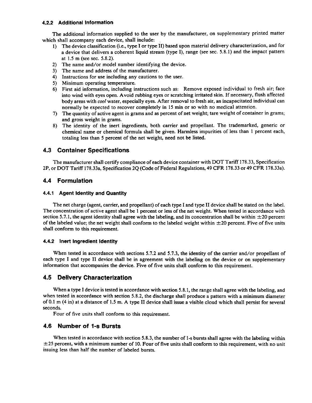#### **4.2.2 Additional Information**

The additional information supplied to the user by the manufacturer, on supplementary printed matter which shall accompany each device, shall include:

- 1) The device classification (i.e., type I or type II) based upon material delivery characterization, and for a device that delivers a coherent liquid stream (type I), range (see sec. 5.8.1) and the impact pattern at 1.5 m (see sec. 5.8.2).
- 2) The name and/or model number identifying the device.
- 3) The name and address of the manufacturer.
- 4) Instructions for use including any cautions to the user.
- 5) Minimum operating temperature.
- 6) First aid information, including instructions such as: Remove exposed individual to fresh air; face into wind with eyes open. Avoid rubbing eyes or scratching irritated skin. If necessary, flush affected body areas with cool water, especially eyes. After removal to fresh air, an incapacitated individual can normally be expected to recover completely in 15 min or so with no medical attention.
- 7) The quantity of active agent in grams and as percent of net weight; tare weight of container in grams; and gross weight in grams.
- 8) The identity of the inert ingredients, both carrier and propellant. The trademarked, generic or chemical name or chemical formula shall be given. Harmless impurities of less than 1 percent each, totaling less than 5 percent of the net weight, need not be listed.

## **4.3 Container Specifications**

The manufacturer shall certify compliance of each device container with DOT Tariff 178.33, Specification 2P, or DOT Tariff 178.33a, Specification 24 (Code of Federal Regulations, **49** CFR 178.33 or **49** CFR 178.33a).

## **4.4 Formulation**

#### **4.4.1 Agent Identity and Quantlty**

The net charge (agent, carrier, and propellant) of each type I and type I1 device shall be stated on the label. The concentration of active agent shall be 1 percent or less of the net weight. When tested in accordance with section 5.7.1, the agent identity shall agree with the labeling, and its concentration shall be within  $\pm 20$  percent of the labeled value; the net weight shall conform to the labeled weight within  $\pm 20$  percent. Five of five units shall conform to this requirement.

#### **4.4.2 Inert Ingredient Identity**

When tested in accordance with sections 5.7.2 and 5.7.3, the identity of the carrier and/or propellant of each type I and type I1 device shall be in agreement with the labeling on the device or on supplementary information that accompanies the device. Five of five units shqll conform to this requirement.

## **4.5 Delivery Characterization**

When a type I device is tested in accordance with section 5.8.1, the range shall agree with the labeling, and when tested in accordance with section 5.8.2, the discharge shall produce a pattern with a minimum diameter of 0.1 m (4 in) at a distance of 1.5 m. A type I1 device shall issue a visible cloud which shall persist for several seconds.

Four of five units shall conform to this requirement.

## **4.6 Number of 1-s Bursts**

When tested in accordance with section 5.8.3, the number of 1-s bursts shall agree with the labeling within  $\pm$ 25 percent, with a minimum number of 10. Four of five units shall conform to this requirement, with no unit issuing less than half the number of labeled bursts.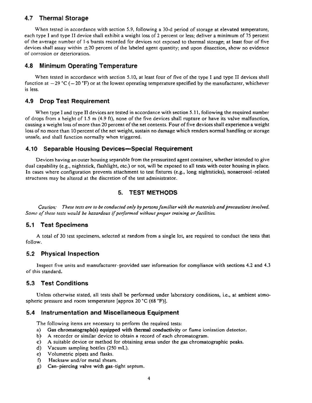## **4.7 Thermal Storage**

**When** tested in accordance with section 5.9, following a 30-d period of storage at elevated temperature, each type I and type **I1** device shall exhibit a weight loss of 2 percent or less; deliver a minimum of 75 percent of the average number of l -s bursts recorded for devices not exposed to thermal storage; at least four of five devices shall assay within  $\pm 20$  percent of the labeled agent quantity; and upon dissection, show no evidence of corrosion or deterioration.

#### **4.8 Minimum Operating Temperature**

When tested in accordance with section 5.10, at least four of five of the type I and type II devices shall function at  $-29$   $^{\circ}$ C ( $-20$   $^{\circ}$ F) or at the lowest operating temperature specified by the manufacturer, whichever is less.

#### **4.9 Drop Test Requirement**

When type I and type **I1** devices are tested in accordance with section 5.11, following the required number of drops from a height of **1.5** m (4.9 **ft),** none of the five devices shall rupture or have its valve malfunction, causing a weight loss of **more** than 20 percent of the net contents. Four of five devices shall experience a weight loss of no more than 10 percent of the net weight, sustain no damage which renders normal handling or storage unsafe, and shall function normally when triggered.

#### **4.10 Separable Housing Devices-Special Requirement**

Devices having an outer housing separable from the pressurized agent container, whether intended to give dual capability (e.g., nightstick, flashlight, etc.) or not, will be exposed to all tests with outer housing in place. In cases where configuration prevents attachment to test fixtures (e-g., long nightsticks), nonaerosol-related structures may be altered at the discretion of the test administrator.

## **5. TEST METHODS**

Caution: These tests are to be conducted only by persons familiar with the materials and precautions involved. **Some** *of these tests would be hazardous ifperformed without proper* **tmining** *or* **faciliries** 

#### **5.1 Test Specimens**

A total of 30 test specimens, selected at random from a single lot, are required to conduct the tests that follow.

#### **5.2 Physical Inspection**

Inspect five units and manufacturer-provided user information for compliance with sections 4.2 and 4.3 of this standard.

## **5.3 Test Conditions**

Unless otherwise stated, all tests shall be performed under laboratory conditions, i.e., at ambient atmospheric pressure and room temperature [approx 20 **'C**(68 **'F)].** 

#### **5.4 Instrumentation and Miscellaneous Equipment**

The following items are necessary to perform the required tests:

- a) Gas chromatograph(s) equipped with thermal conductivity or flame ionization detector.<br>b) A recorder or similar device to obtain a record of each chromatogram.
- **b)** A recorder or similar device to obtain a record of each chromatogram.
- **c)** A suitable device or method for obtaining areas under the **gas** chromatographic **peaks.**
- **d)** Vacuum sampling bottles (250 **mL).**
- e) Volumetric pipets and flasks.
- **f)** Hacksaw and/or metal shears.
- **g)** Can piercing valve with **gas**-tight septum.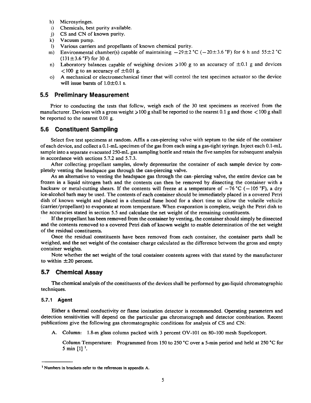- Microsyringes.  $h$
- Chemicals, best purity available.  $\mathbf{i}$
- $\ddot{\mathbf{i}}$ CS and CN of known purity.
- $\bf k$ Vacuum pump.
- $\mathbf{D}$ Various carriers and propellants of known chemical purity.
- m) Environmental chamber(s) capable of maintaining  $-29\pm 2$  °C ( $-20\pm 3.6$  °F) for 6 h and  $55\pm 2$  °C  $(131 \pm 3.6 \text{ °F})$  for 30 d.
- Laboratory balances capable of weighing devices  $>100$  g to an accuracy of  $\pm 0.1$  g and devices  $n)$  $<$ 100 g to an accuracy of  $\pm$ 0.01 g.
- A mechanical or electromechanical timer that will control the test specimen actuator so the device  $\Omega$ will issue bursts of  $1.0\pm0.1$  s.

#### **5.5 Preliminary Measurement**

Prior to conducting the tests that follow, weigh each of the 30 test specimens as received from the manufacturer. Devices with a gross weight  $>100$  g shall be reported to the nearest 0.1 g and those  $<100$  g shall be reported to the nearest 0.01 g.

#### **5.6 Constituent Sampling**

Select five test specimens at random. Affix a can-piercing valve with septum to the side of the container of each device, and collect a 0.1-mL specimen of the gas from each using a gas-tight syringe. Inject each 0. 1-mL sample into a separate evacuated 250-mL gas sampling bottle and retain the five samples for subsequent analysis in accordance with sections 5.7.2 and 5.7.3.

After collecting propellant samples, slowly depressurize the container of each sample device by completely venting the headspace gas through the can-piercing valve.

As an alternative to venting the headspace gas through the can-piercing valve, the entire device can be frozen in a liquid nitrogen bath and the contents can then be removed by dissecting the container with a hacksaw or metal-cutting shears. If the contents will freeze at a temperature of  $-76$  °C ( $-105$  °F), a dry ice-alcohol bath may be used. The contents of each container should be immediately placed in a covered Petri dish of known weight and placed in a chemical fume hood for a short time to allow the volatile vehicle (carrier/propellant) to evaporate at room temperature. When evaporation is complete, weigh the Petri dish to the accuracies stated in section 5.5 and calculate the net weight of the remaining constituents.

If the propellant has been removed from the container by venting, the container should simply be dissected and the contents removed to a covered Petri dish of known weight to enable determination of the net weight of the residual constituents.

Once the residual constituents have been removed from each container, the container parts shall be weighed, and the net weight of the container charge calculated as the difference between the gross and empty container weights.

Note whether the net weight of the total container contents agrees with that stated by the manufacturer to within  $\pm 20$  percent.

#### **5.7 Chemical Assay**

The chemical analysis of the constituents of the devices shall be performed by gas-liquid chromatographic techniques.

#### **5.7.1 Agent**

Either a thermal conductivity or flame ionization detector is recommended. Operating parameters and detection sensitivities will. depend on the particular gas chromatograph and detector combination. Recent publications give the following gas chromatographic conditions for analysis of CS and CN:

A. Column: 1.8-m glass column packed with 3 percent OV-101 on 80-100 mesh Supelcoport.

Column Temperature: Programmed from 150 to 250 "C over a 5-min period and held at 250 "C for 5 min [I] '.

**Numbers in brackets refer to the references in appendix A.**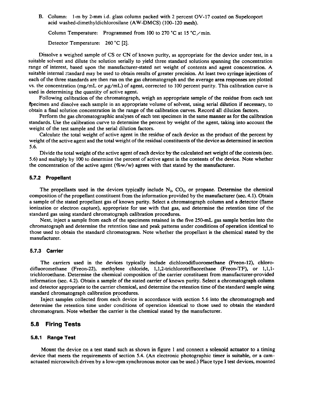B. Column: 1-m by 2-mm i.d. glass column packed with 2 percent OV-17 coated on Supelcoport acid washed-dimethyldichlorosilane (AW-DMCS) (100-120 mesh).

Column Temperature: Programmed from 100 to 270 °C at 15 °C  $\text{/min.}$ 

Detector Temperature: 260 °C [2].

Dissolve a weighed sample of CS or CN of known purity, as appropriate for the device under test, in a suitable solvent and dilute the solution serially to yield three standard solutions spanning the concentration range of interest, based upon the manufacturer-stated net weight of contents and agent concentration. A suitable internal standard may be used to obtain results of greater precision. At least two syringe injections of each of the three standards are then run on the gas chromatograph and the average area responses are plotted vs. the concentration (mg/mL or  $\mu$ g/mL) of agent, corrected to 100 percent purity. This calibration curve is used in determining the quantity of active agent.

Following calibration of the chromatograph, weigh an appropriate sample of the residue from each test Specimen and dissolve each sample in an appropriate volume of solvent, using serial dilution if necessary, to obtain a final solution concentration in the range of the calibration curves. Record all dilution factors.

Perform the gas chromatographic analyses of each test specimen in the same manner **as** for the calibration standards. Use the calibration curve to determine the percent by weight of the agent, taking into account the weight of the test sample and the serial dilution factors.

Calculate the total weight of active agent in the residue of each device as the product of the percent by weight of the active agent and the total weight of the residual constituents of the device as determined in section 5.6.

Divide the total weight of the active agent of each device by the calculated net weight of the contents (sec. 5.6) and multiply by 100 to determine the percent of active agent in the contents of the device. Note whether the concentration of the active agent  $(\%w/w)$  agrees with that stated by the manufacturer.

#### **5.7.2 Propellant**

The propellants used in the devices typically include  $N_2$ ,  $CO_2$ , or propane. Determine the chemical composition of the propellant constituent from the information provided by the manufacturer (sec. 4.1). Obtain a sample of the stated propellant gas of known purity. Select a chromatograph column and a detector (flame ionization or electron capture), appropriate for use with that gas, and determine the retention time of the standard gas using standard chromatograph calibration procedures.

Next, inject a sample from each of the specimens retained in the five 250-mL **gas** sample bottles into the chromatograph and determine the retention time and peak patterns under conditions of operation identical to those used to obtain the standard chromatogram. Note whether the propellant is the chemical stated by the manufacturer.

#### **5.7.3 Carrier**

The carriers used in the devices typically include dichlorodifluoromethane (Freon-12), chlorodifluoromethane (Freon-22), methylene chloride, **1,1,2-trichlorotrifluorethane** (Freon-TF), or 1,1,1 trichloroethane. Determine the chemical composition of the carrier constituent from manufacturer-provided information (sec. 4.2). Obtain a sample of the stated carrier of known purity. Select a chromatograph column and detector appropriate to the carrier chemical, and determine the retention time of the standard sample using standard chromatograph calibration procedures.

Inject samples collected from eadh device in accordance with section 5.6 into the chromatograph and determine the retention time under conditions of operation identical to those used to obtain the standard chromatogram. Note whether the carrier is the chemical stated by the manufacturer.

#### **5.8 Firing Tests**

#### **5.8.1 Range Test**

Mount the device on a test stand such as shown in figure 1 and connect a solenoid actuator to a timing device that meets the requirements of section 5.4. (An electronic photographic timer is suitable, or a camactuated microswitch driven by a low-rpm synchronous motor can be used.) Place type I test devices, mounted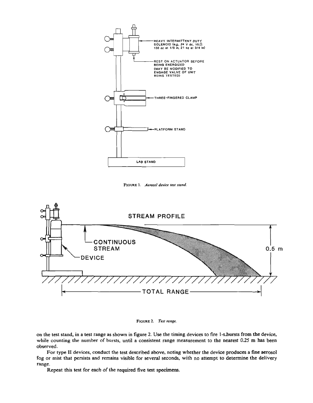

FIGURE 1. *Aerosol device test stand.* 



**FIGURE2. Test** *mnge.* 

on the test stand, in a test range as shown in figure 2. **Use** the timing devices to fire 1-sbursts from the device, while counting the number of bursts, until a consistent range measurement to the nearest 0.25 m has **been**  observed.

For type II devices, conduct the test described above, noting whether the device produces a fine aerosol fog or mist that persists and remains visible for several seconds, with no attempt to determine the delivery range.

Repeat this test for each of the required five **test specimens.**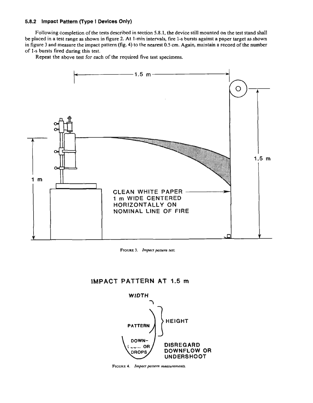#### **5.8.2 Impact Pattern (Type I Devices Only)**

Following completion of the **tests** described in section 5.8.1, the device still mounted on the test stand shall be placed in a test range as shown in figure 2. At I-min intervals, fire 1-sbursts against a paper target as shown in figure 3 and measure the impact pattern (fig. 4) to the nearest 0.5 cm. Again, maintain a record of the number of I-s bursts fired during this test.

Repeat the above test for each of the required five test specimens.



**FIGURE3.** *Impact pattern test* 

## **lMPACT PATTERN AT 1.5 m**



**Flov~a***4. Impact pattern* **measurements.**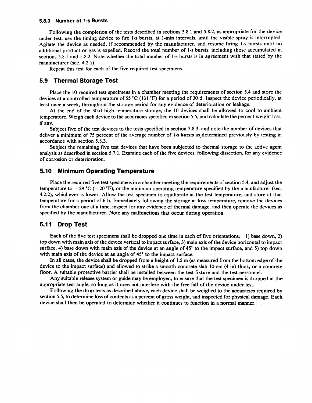#### **5.8.3 Number of 1-s Bursts**

Following the completion of the tests described in sections 5.8.1 and 5.8.2, as appropriate for the device under test, use the timing device to fire 1-s bursts, at 1-min intervals, until the visible spray is interrupted. Agitate the device as needed, if recommended by the manufacturer, and resume firing 1-s bursts until no additional product or gas is expelled. Record the total number of 1-s bursts, including those accumulated in sections 5.8.1 and 5.8.2. Note whether the total number of 1-s bursts is in agreement with that stated by the manufacturer (sec. 4.2.1).

Repeat this test for each of the five required test specimens.

#### **5.9 'Thermal Storage Test**

Place the 10 required test specimens in a chamber meeting the requirements of section 5.4 and store the devices at a controlled temperature of 55 °C (131 °F) for a period of 30 d. Inspect the device periodically, at least once a week, throughout the storage period for any evidence of deterioration or leakage.

At the end of the 30-d high temperature storage, the 10 devices shall be allowed to cool to ambient temperature. Weigh each device to the accuracies specified in section 5.5, and calculate the percent weight loss, if any.

Subject five of the test devices to the tests specified in section 5.8.3, and note the number of devices that deliver a minimum of 75 percent of the average number of 1-s bursts as determined previously by testing in accordance with section 5.8.3.

Subject the remaining five test devices that have been subjected to thermal storage to the active agent analysis as described in section 5.7.1. Examine each of the five devices, following dissection, for any evidence of corrosion or deterioration.

#### **5.10 Minimum Operating Temperature**

Place the required five test specimens in a chamber meeting the requirements of section 5.4, and adjust the temperature to  $-29$  °C ( $-20$  °F), or the minimum operating temperature specified by the manufacturer (sec. 4.2.2), whichever is lower. Allow the test specimen to equilibrate at the test temperature, and store at that temperature for a period of 6 h. Immediately following the storage at low temperature, remove the devices from the chamber one at a time, inspect for any evidence of thermal damage, and then operate the devices as specified by the manufacturer. Note any malfunctions that occur during operation.

#### **5.11 Drop Test**

Each of the five test specimens shall be dropped one time in each of five orientations: 1) base down, 2) top down with main axis of the device vertical to impact surface, 3) main axis of the device horizontal to impact surface, 4) base down with main axis of the device at an angle of 45" to the impact surface, and 5) top down with main axis of the device at an angle of 45° to the impact surface.

In all cases, the device shall be dropped from a height of  $1.5$  m (as measured from the bottom edge of the device to the impact surface) and allowed to strike a smooth concrete slab 10-cm (4 in) thick, or a concrete floor. A suitable protective barrier shall be installed between the test fixture and the test personnel.<br>Any suitable release system or guide may be employed, to ensure that the test specimen is dropped at the

appropriate test angle, so long as it does not interfere with the free fall of the device under test.

Following the drop tests as described above, each device shall be weighed to the accuracies required by section 5.5, to determine loss of contents as a percent of gross weight, and inspected for physical damage. Each device shall then be operated to determine whether it continues to function in a normal manner.